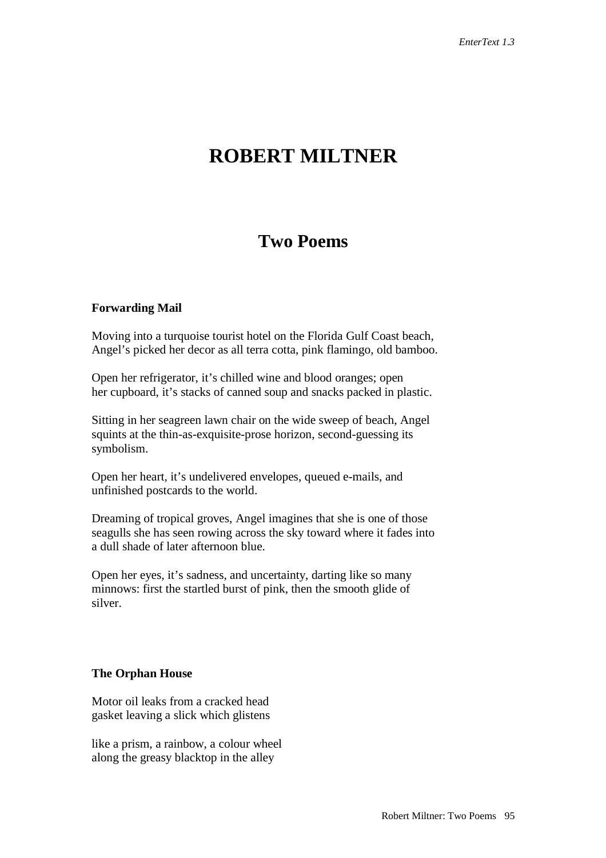## **ROBERT MILTNER**

## **Two Poems**

## **Forwarding Mail**

Moving into a turquoise tourist hotel on the Florida Gulf Coast beach, Angel's picked her decor as all terra cotta, pink flamingo, old bamboo.

Open her refrigerator, it's chilled wine and blood oranges; open her cupboard, it's stacks of canned soup and snacks packed in plastic.

Sitting in her seagreen lawn chair on the wide sweep of beach, Angel squints at the thin-as-exquisite-prose horizon, second-guessing its symbolism.

Open her heart, it's undelivered envelopes, queued e-mails, and unfinished postcards to the world.

Dreaming of tropical groves, Angel imagines that she is one of those seagulls she has seen rowing across the sky toward where it fades into a dull shade of later afternoon blue.

Open her eyes, it's sadness, and uncertainty, darting like so many minnows: first the startled burst of pink, then the smooth glide of silver.

## **The Orphan House**

Motor oil leaks from a cracked head gasket leaving a slick which glistens

like a prism, a rainbow, a colour wheel along the greasy blacktop in the alley